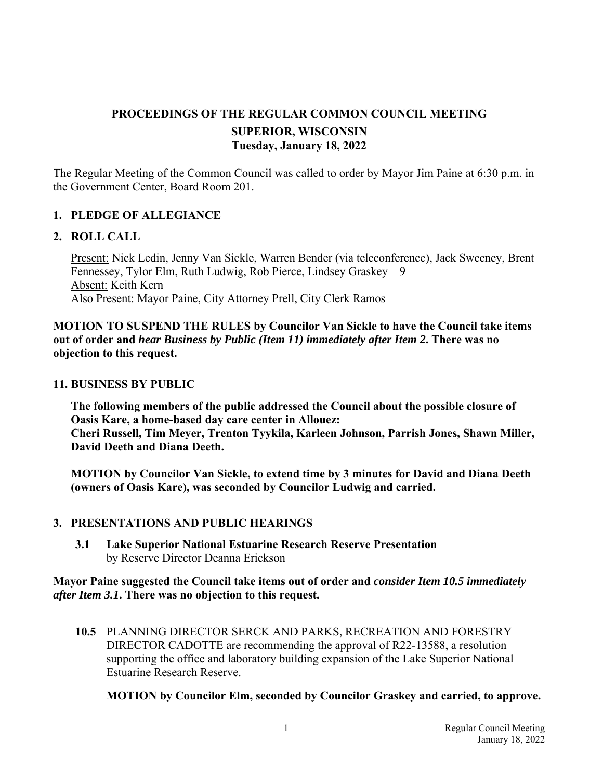# **PROCEEDINGS OF THE REGULAR COMMON COUNCIL MEETING SUPERIOR, WISCONSIN Tuesday, January 18, 2022**

The Regular Meeting of the Common Council was called to order by Mayor Jim Paine at 6:30 p.m. in the Government Center, Board Room 201.

# **1. PLEDGE OF ALLEGIANCE**

#### **2. ROLL CALL**

Present: Nick Ledin, Jenny Van Sickle, Warren Bender (via teleconference), Jack Sweeney, Brent Fennessey, Tylor Elm, Ruth Ludwig, Rob Pierce, Lindsey Graskey – 9 Absent: Keith Kern Also Present: Mayor Paine, City Attorney Prell, City Clerk Ramos

**MOTION TO SUSPEND THE RULES by Councilor Van Sickle to have the Council take items out of order and** *hear Business by Public (Item 11) immediately after Item 2***. There was no objection to this request.** 

#### **11. BUSINESS BY PUBLIC**

**The following members of the public addressed the Council about the possible closure of Oasis Kare, a home-based day care center in Allouez: Cheri Russell, Tim Meyer, Trenton Tyykila, Karleen Johnson, Parrish Jones, Shawn Miller, David Deeth and Diana Deeth.** 

**MOTION by Councilor Van Sickle, to extend time by 3 minutes for David and Diana Deeth (owners of Oasis Kare), was seconded by Councilor Ludwig and carried.** 

#### **3. PRESENTATIONS AND PUBLIC HEARINGS**

 **3.1 Lake Superior National Estuarine Research Reserve Presentation**  by Reserve Director Deanna Erickson

#### **Mayor Paine suggested the Council take items out of order and** *consider Item 10.5 immediately after Item 3.1***. There was no objection to this request.**

 **10.5** PLANNING DIRECTOR SERCK AND PARKS, RECREATION AND FORESTRY DIRECTOR CADOTTE are recommending the approval of R22-13588, a resolution supporting the office and laboratory building expansion of the Lake Superior National Estuarine Research Reserve.

#### **MOTION by Councilor Elm, seconded by Councilor Graskey and carried, to approve.**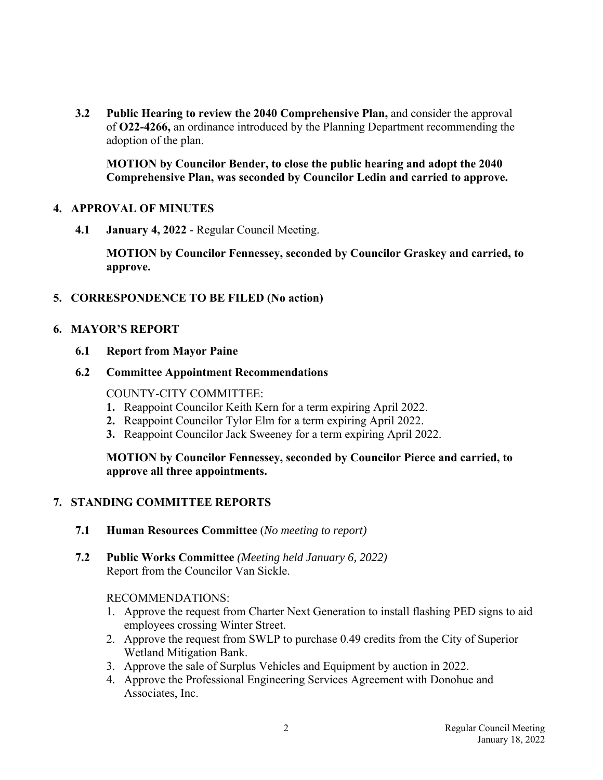**3.2 Public Hearing to review the 2040 Comprehensive Plan,** and consider the approval of **O22-4266,** an ordinance introduced by the Planning Department recommending the adoption of the plan.

 **MOTION by Councilor Bender, to close the public hearing and adopt the 2040 Comprehensive Plan, was seconded by Councilor Ledin and carried to approve.**

## **4. APPROVAL OF MINUTES**

**4.1 January 4, 2022** - Regular Council Meeting.

 **MOTION by Councilor Fennessey, seconded by Councilor Graskey and carried, to approve.**

## **5. CORRESPONDENCE TO BE FILED (No action)**

#### **6. MAYOR'S REPORT**

 **6.1 Report from Mayor Paine** 

#### **6.2 Committee Appointment Recommendations**

COUNTY-CITY COMMITTEE:

- **1.** Reappoint Councilor Keith Kern for a term expiring April 2022.
- **2.** Reappoint Councilor Tylor Elm for a term expiring April 2022.
- **3.** Reappoint Councilor Jack Sweeney for a term expiring April 2022.

#### **MOTION by Councilor Fennessey, seconded by Councilor Pierce and carried, to approve all three appointments.**

# **7. STANDING COMMITTEE REPORTS**

- **7.1 Human Resources Committee** (*No meeting to report)*
- **7.2 Public Works Committee** *(Meeting held January 6, 2022)*  Report from the Councilor Van Sickle.

#### RECOMMENDATIONS:

- 1. Approve the request from Charter Next Generation to install flashing PED signs to aid employees crossing Winter Street.
- 2. Approve the request from SWLP to purchase 0.49 credits from the City of Superior Wetland Mitigation Bank.
- 3. Approve the sale of Surplus Vehicles and Equipment by auction in 2022.
- 4. Approve the Professional Engineering Services Agreement with Donohue and Associates, Inc.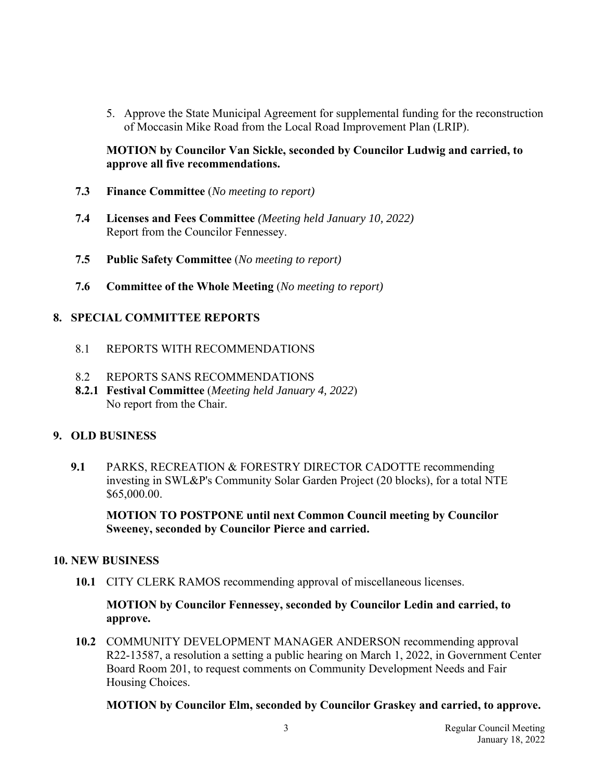5. Approve the State Municipal Agreement for supplemental funding for the reconstruction of Moccasin Mike Road from the Local Road Improvement Plan (LRIP).

## **MOTION by Councilor Van Sickle, seconded by Councilor Ludwig and carried, to approve all five recommendations.**

- **7.3 Finance Committee** (*No meeting to report)*
- **7.4 Licenses and Fees Committee** *(Meeting held January 10, 2022)*  Report from the Councilor Fennessey.
- **7.5 Public Safety Committee** (*No meeting to report)*
- **7.6 Committee of the Whole Meeting** (*No meeting to report)*

# **8. SPECIAL COMMITTEE REPORTS**

- 8.1 REPORTS WITH RECOMMENDATIONS
- 8.2 REPORTS SANS RECOMMENDATIONS
- **8.2.1 Festival Committee** (*Meeting held January 4, 2022*) No report from the Chair.

#### **9. OLD BUSINESS**

 **9.1** PARKS, RECREATION & FORESTRY DIRECTOR CADOTTE recommending investing in SWL&P's Community Solar Garden Project (20 blocks), for a total NTE \$65,000.00.

 **MOTION TO POSTPONE until next Common Council meeting by Councilor Sweeney, seconded by Councilor Pierce and carried.**

#### **10. NEW BUSINESS**

 **10.1** CITY CLERK RAMOS recommending approval of miscellaneous licenses.

 **MOTION by Councilor Fennessey, seconded by Councilor Ledin and carried, to approve.**

 **10.2** COMMUNITY DEVELOPMENT MANAGER ANDERSON recommending approval R22-13587, a resolution a setting a public hearing on March 1, 2022, in Government Center Board Room 201, to request comments on Community Development Needs and Fair Housing Choices.

 **MOTION by Councilor Elm, seconded by Councilor Graskey and carried, to approve.**